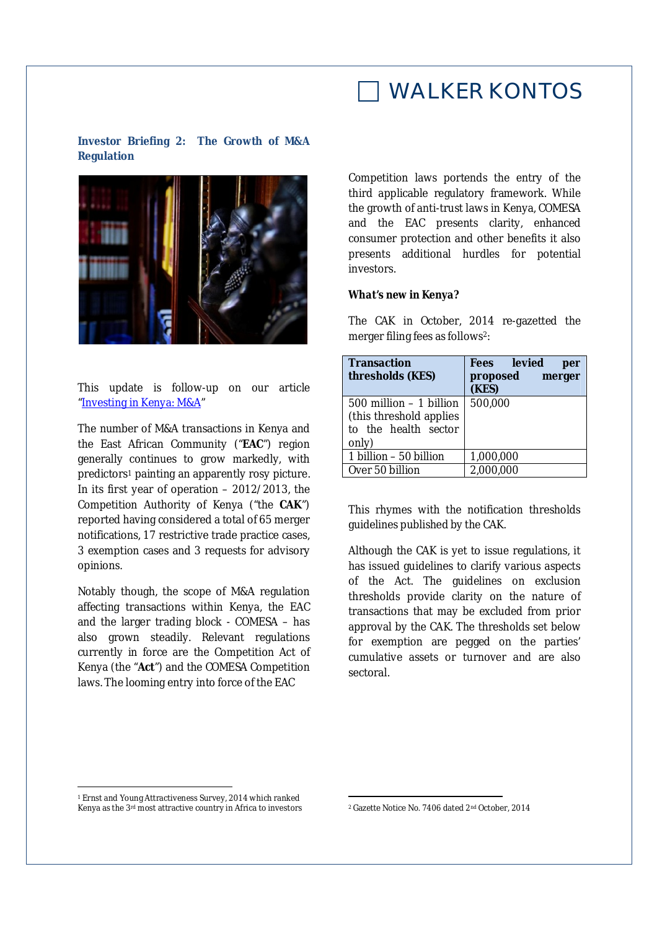### WALKER KONTOS

**Investor Briefing 2: The Growth of M&A Regulation** 



This update is follow-up on our article "Investing in Kenya: M&A"

The number of M&A transactions in Kenya and the East African Community ("**EAC**") region generally continues to grow markedly, with predictors<sup>1</sup> painting an apparently rosy picture. In its first year of operation – 2012/2013, the Competition Authority of Kenya ("the **CAK**") reported having considered a total of 65 merger notifications, 17 restrictive trade practice cases, 3 exemption cases and 3 requests for advisory opinions.

Notably though, the scope of M&A regulation affecting transactions within Kenya, the EAC and the larger trading block - COMESA – has also grown steadily. Relevant regulations currently in force are the Competition Act of Kenya (the "**Act**") and the COMESA Competition laws. The looming entry into force of the EAC

Competition laws portends the entry of the third applicable regulatory framework. While the growth of anti-trust laws in Kenya, COMESA and the EAC presents clarity, enhanced consumer protection and other benefits it also presents additional hurdles for potential investors.

#### *What's new in Kenya?*

The CAK in October, 2014 re-gazetted the merger filing fees as follows2:

| <b>Transaction</b><br>thresholds (KES)                                                  | Fees levied<br>per<br>proposed<br>merger<br>(KES) |
|-----------------------------------------------------------------------------------------|---------------------------------------------------|
| $500$ million $-1$ billion<br>(this threshold applies)<br>to the health sector<br>only) | 500,000                                           |
| 1 billion - 50 billion                                                                  | 1,000,000                                         |
| Over 50 billion                                                                         | 2,000,000                                         |

This rhymes with the notification thresholds guidelines published by the CAK.

Although the CAK is yet to issue regulations, it has issued guidelines to clarify various aspects of the Act. The guidelines on exclusion thresholds provide clarity on the nature of transactions that may be excluded from prior approval by the CAK. The thresholds set below for exemption are pegged on the parties' cumulative assets or turnover and are also sectoral.

 $\overline{a}$ 

 $\overline{a}$ 

<sup>1</sup> Ernst and Young Attractiveness Survey, 2014 which ranked Kenya as the 3rd most attractive country in Africa to investors

<sup>2</sup> Gazette Notice No. 7406 dated 2nd October, 2014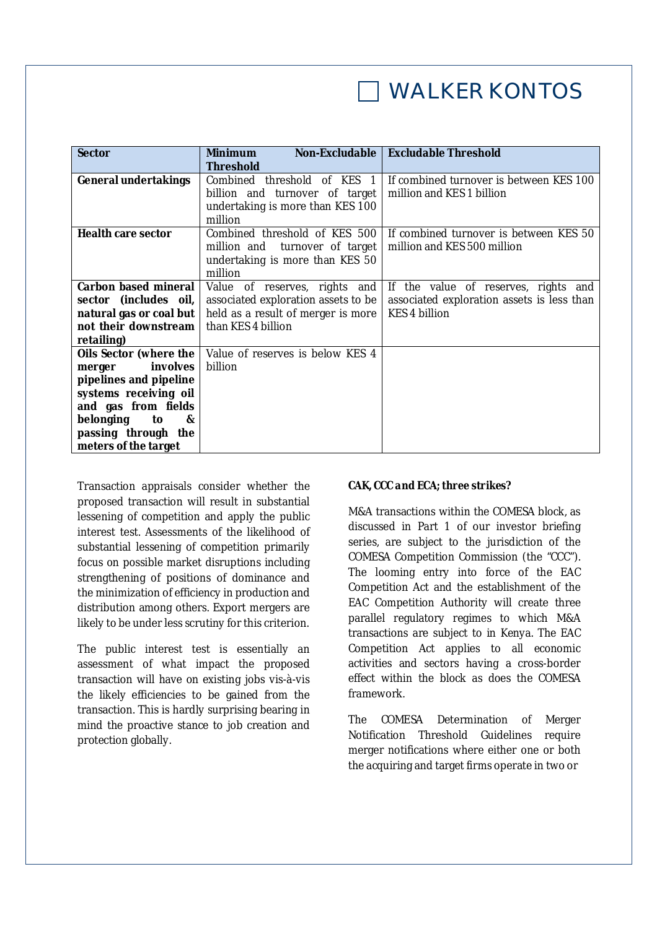# WALKER KONTOS

| <b>Sector</b>               | Non-Excludable  <br><b>Minimum</b><br><b>Threshold</b>                                                        | <b>Excludable Threshold</b>                                           |
|-----------------------------|---------------------------------------------------------------------------------------------------------------|-----------------------------------------------------------------------|
| <b>General undertakings</b> | Combined threshold of KES 1<br>billion and turnover of target<br>undertaking is more than KES 100<br>million  | If combined turnover is between KES 100<br>million and KES 1 billion  |
| <b>Health care sector</b>   | Combined threshold of KES 500<br>million and turnover of target<br>undertaking is more than KES 50<br>million | If combined turnover is between KES 50<br>million and KES 500 million |
| Carbon based mineral        | Value of reserves, rights and                                                                                 | If the value of reserves, rights and                                  |
| sector (includes oil,       | associated exploration assets to be                                                                           | associated exploration assets is less than                            |
| natural gas or coal but     | held as a result of merger is more                                                                            | KES 4 billion                                                         |
| not their downstream        | than KES 4 billion                                                                                            |                                                                       |
| retailing)                  |                                                                                                               |                                                                       |
| Oils Sector (where the      | Value of reserves is below KES 4                                                                              |                                                                       |
| involves<br>merger          | billion                                                                                                       |                                                                       |
| pipelines and pipeline      |                                                                                                               |                                                                       |
| systems receiving oil       |                                                                                                               |                                                                       |
| and gas from fields         |                                                                                                               |                                                                       |
| belonging<br>to<br>&        |                                                                                                               |                                                                       |
| passing through the         |                                                                                                               |                                                                       |
| meters of the target        |                                                                                                               |                                                                       |

Transaction appraisals consider whether the proposed transaction will result in substantial lessening of competition and apply the public interest test. Assessments of the likelihood of substantial lessening of competition primarily focus on possible market disruptions including strengthening of positions of dominance and the minimization of efficiency in production and distribution among others. Export mergers are likely to be under less scrutiny for this criterion.

The public interest test is essentially an assessment of what impact the proposed transaction will have on existing jobs vis-à-vis the likely efficiencies to be gained from the transaction. This is hardly surprising bearing in mind the proactive stance to job creation and protection globally.

### *CAK, CCC and ECA; three strikes?*

M&A transactions within the COMESA block, as discussed in Part 1 of our investor briefing series, are subject to the jurisdiction of the COMESA Competition Commission (the "CCC"). The looming entry into force of the EAC Competition Act and the establishment of the EAC Competition Authority will create three parallel regulatory regimes to which M&A transactions are subject to in Kenya. The EAC Competition Act applies to all economic activities and sectors having a cross-border effect within the block as does the COMESA framework.

The COMESA Determination of Merger Notification Threshold Guidelines require merger notifications where either one or both the acquiring and target firms operate in two or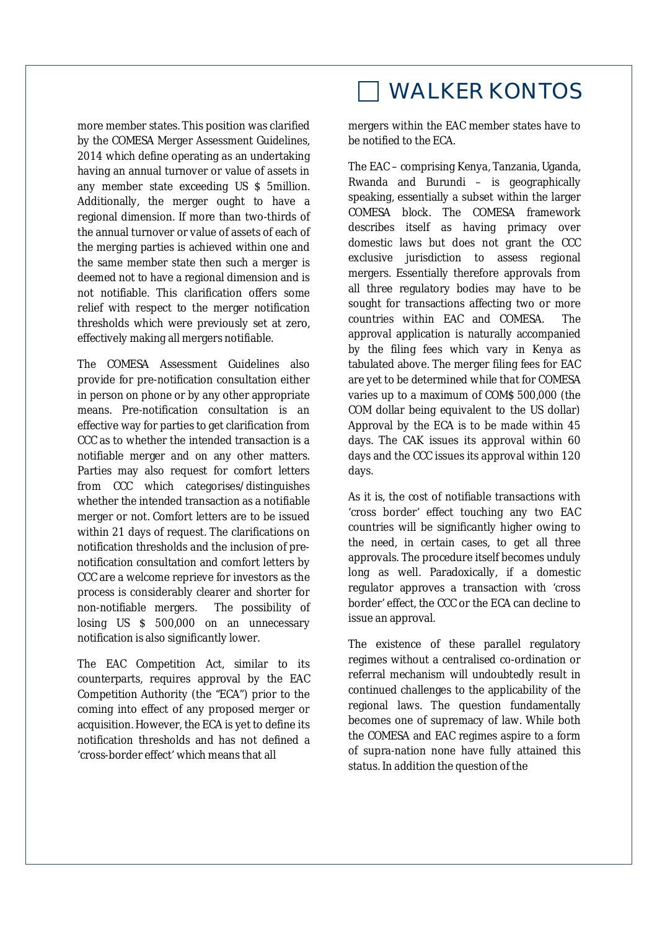more member states. This position was clarified by the COMESA Merger Assessment Guidelines, 2014 which define operating as an undertaking having an annual turnover or value of assets in any member state exceeding US \$ 5million. Additionally, the merger ought to have a regional dimension. If more than two-thirds of the annual turnover or value of assets of each of the merging parties is achieved within one and the same member state then such a merger is deemed not to have a regional dimension and is not notifiable. This clarification offers some relief with respect to the merger notification thresholds which were previously set at zero, effectively making all mergers notifiable.

The COMESA Assessment Guidelines also provide for pre-notification consultation either in person on phone or by any other appropriate means. Pre-notification consultation is an effective way for parties to get clarification from CCC as to whether the intended transaction is a notifiable merger and on any other matters. Parties may also request for comfort letters from CCC which categorises/distinguishes whether the intended transaction as a notifiable merger or not. Comfort letters are to be issued within 21 days of request. The clarifications on notification thresholds and the inclusion of prenotification consultation and comfort letters by CCC are a welcome reprieve for investors as the process is considerably clearer and shorter for non-notifiable mergers. The possibility of losing US \$ 500,000 on an unnecessary notification is also significantly lower.

The EAC Competition Act, similar to its counterparts, requires approval by the EAC Competition Authority (the "ECA") prior to the coming into effect of any proposed merger or acquisition. However, the ECA is yet to define its notification thresholds and has not defined a 'cross-border effect' which means that all

## WALKER KONTOS

mergers within the EAC member states have to be notified to the ECA.

The EAC – comprising Kenya, Tanzania, Uganda, Rwanda and Burundi – is geographically speaking, essentially a subset within the larger COMESA block. The COMESA framework describes itself as having primacy over domestic laws but does not grant the CCC exclusive jurisdiction to assess regional mergers. Essentially therefore approvals from all three regulatory bodies may have to be sought for transactions affecting two or more countries within EAC and COMESA. The approval application is naturally accompanied by the filing fees which vary in Kenya as tabulated above. The merger filing fees for EAC are yet to be determined while that for COMESA varies up to a maximum of COM\$ 500,000 (the COM dollar being equivalent to the US dollar) Approval by the ECA is to be made within 45 days. The CAK issues its approval within 60 days and the CCC issues its approval within 120 days.

As it is, the cost of notifiable transactions with 'cross border' effect touching any two EAC countries will be significantly higher owing to the need, in certain cases, to get all three approvals. The procedure itself becomes unduly long as well. Paradoxically, if a domestic regulator approves a transaction with 'cross border' effect, the CCC or the ECA can decline to issue an approval.

The existence of these parallel regulatory regimes without a centralised co-ordination or referral mechanism will undoubtedly result in continued challenges to the applicability of the regional laws. The question fundamentally becomes one of supremacy of law. While both the COMESA and EAC regimes aspire to a form of supra-nation none have fully attained this status. In addition the question of the